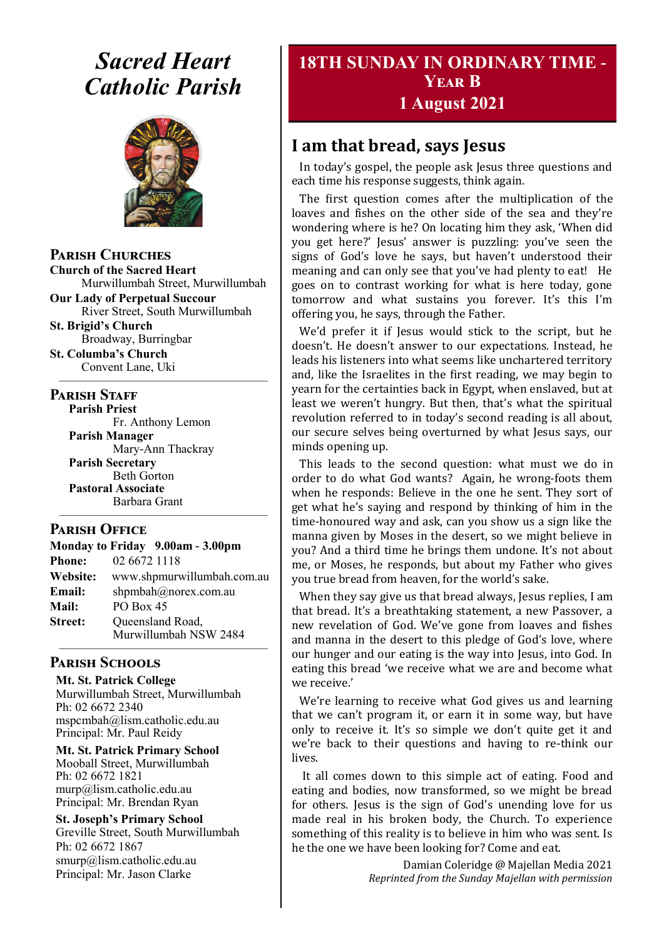## *Sacred Heart Catholic Parish*



**Parish Churches**

**Church of the Sacred Heart** Murwillumbah Street, Murwillumbah

**Our Lady of Perpetual Succour** River Street, South Murwillumbah

**St. Brigid's Church** Broadway, Burringbar

**St. Columba's Church** Convent Lane, Uki —————————————————

#### **PARISH STAFF**

**Parish Priest** Fr. Anthony Lemon

**Parish Manager** Mary-Ann Thackray **Parish Secretary** Beth Gorton **Pastoral Associate** Barbara Grant

#### ————————————————— **Parish Office**

| Monday to Friday 9.00am - 3.00pm |                                           |
|----------------------------------|-------------------------------------------|
| <b>Phone:</b>                    | 02 6672 1118                              |
| Website:                         | www.shpmurwillumbah.com.au                |
| Email:                           | shpmbah@norex.com.au                      |
| <b>Mail:</b>                     | <b>PO Box 45</b>                          |
| <b>Street:</b>                   | Queensland Road,<br>Murwillumbah NSW 2484 |

#### **Parish Schools**

**Mt. St. Patrick College** Murwillumbah Street, Murwillumbah Ph: 02 6672 2340 mspcmbah@lism.catholic.edu.au Principal: Mr. Paul Reidy

**Mt. St. Patrick Primary School** Mooball Street, Murwillumbah Ph: 02 6672 1821 murp@lism.catholic.edu.au Principal: Mr. Brendan Ryan

**St. Joseph's Primary School** Greville Street, South Murwillumbah Ph: 02 6672 1867 smurp@lism.catholic.edu.au Principal: Mr. Jason Clarke

## **18TH SUNDAY IN ORDINARY TIME - Year B 1 August 2021**

## **I am that bread, says Jesus**

In today's gospel, the people ask Jesus three questions and each time his response suggests, think again.

The first question comes after the multiplication of the loaves and fishes on the other side of the sea and they're wondering where is he? On locating him they ask, 'When did you get here?' Jesus' answer is puzzling: you've seen the signs of God's love he says, but haven't understood their meaning and can only see that you've had plenty to eat! He goes on to contrast working for what is here today, gone tomorrow and what sustains you forever. It's this I'm offering you, he says, through the Father.

We'd prefer it if Jesus would stick to the script, but he doesn't. He doesn't answer to our expectations. Instead, he leads his listeners into what seems like unchartered territory and, like the Israelites in the first reading, we may begin to yearn for the certainties back in Egypt, when enslaved, but at least we weren't hungry. But then, that's what the spiritual revolution referred to in today's second reading is all about, our secure selves being overturned by what Jesus says, our minds opening up.

This leads to the second question: what must we do in order to do what God wants? Again, he wrong-foots them when he responds: Believe in the one he sent. They sort of get what he's saying and respond by thinking of him in the time-honoured way and ask, can you show us a sign like the manna given by Moses in the desert, so we might believe in you? And a third time he brings them undone. It's not about me, or Moses, he responds, but about my Father who gives you true bread from heaven, for the world's sake.

When they say give us that bread always, Jesus replies, I am that bread. It's a breathtaking statement, a new Passover, a new revelation of God. We've gone from loaves and fishes and manna in the desert to this pledge of God's love, where our hunger and our eating is the way into Jesus, into God. In eating this bread 'we receive what we are and become what we receive.'

We're learning to receive what God gives us and learning that we can't program it, or earn it in some way, but have only to receive it. It's so simple we don't quite get it and we're back to their questions and having to re-think our lives.

It all comes down to this simple act of eating. Food and eating and bodies, now transformed, so we might be bread for others. Jesus is the sign of God's unending love for us made real in his broken body, the Church. To experience something of this reality is to believe in him who was sent. Is he the one we have been looking for? Come and eat.

> Damian Coleridge @ Majellan Media 2021 *Reprinted from the Sunday Majellan with permission*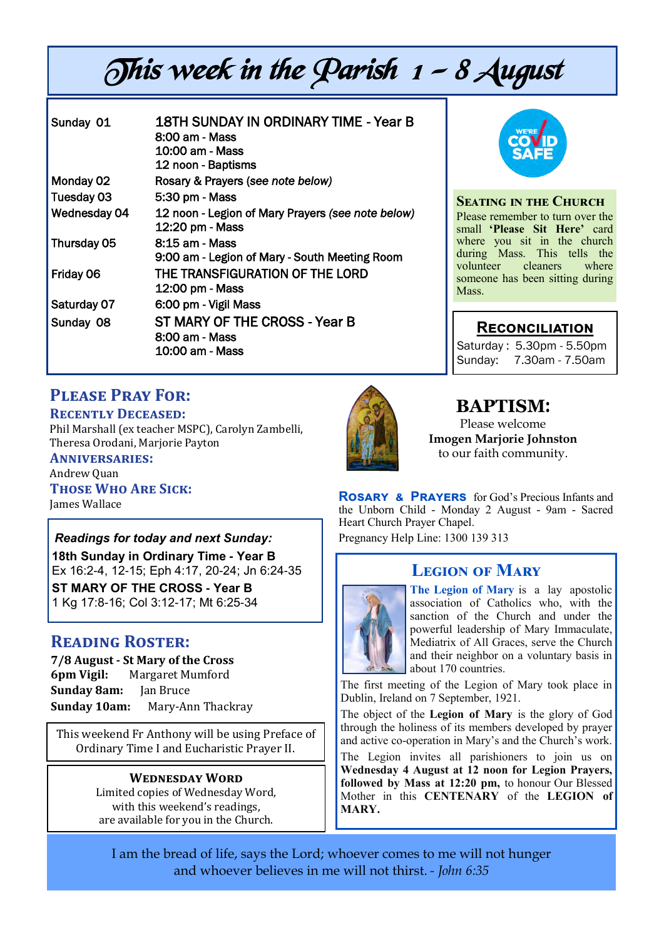# This week in the Parish  $1 - 8$  August

| 18TH SUNDAY IN ORDINARY TIME - Year B<br>8:00 am - Mass<br>10:00 am - Mass<br>12 noon - Baptisms |
|--------------------------------------------------------------------------------------------------|
| Rosary & Prayers (see note below)                                                                |
| 5:30 pm - Mass                                                                                   |
| 12 noon - Legion of Mary Prayers (see note below)<br>12:20 pm - Mass                             |
| 8:15 am - Mass<br>9:00 am - Legion of Mary - South Meeting Room                                  |
| THE TRANSFIGURATION OF THE LORD<br>12:00 pm - Mass                                               |
| 6:00 pm - Vigil Mass                                                                             |
| ST MARY OF THE CROSS - Year B<br>8:00 am - Mass<br>10:00 am - Mass                               |
|                                                                                                  |



#### **Seating in the Church** Please remember to turn over the small **'Please Sit Here'** card where you sit in the church during Mass. This tells the<br>volunteer cleaners where volunteer someone has been sitting during Mass.

### **Reconciliation**

Saturday : 5.30pm - 5.50pm Sunday: 7.30am - 7.50am

## **Please Pray For:**

**Recently Deceased:**

Phil Marshall (ex teacher MSPC), Carolyn Zambelli, Theresa Orodani, Marjorie Payton

**Anniversaries:**  Andrew Quan **Those Who Are Sick:**  James Wallace

*Readings for today and next Sunday:*  **18th Sunday in Ordinary Time - Year B**  Ex 16:2-4, 12-15; Eph 4:17, 20-24; Jn 6:24-35 **ST MARY OF THE CROSS - Year B**  1 Kg 17:8-16; Col 3:12-17; Mt 6:25-34

## **Reading Roster:**

**7/8 August - St Mary of the Cross 6pm Vigil:** Margaret Mumford **Sunday 8am:** Jan Bruce **Sunday 10am:** Mary-Ann Thackray

This weekend Fr Anthony will be using Preface of Ordinary Time I and Eucharistic Prayer II.

#### **Wednesday Word**

Limited copies of Wednesday Word, with this weekend's readings, are available for you in the Church.



## **BAPTISM**:

Please welcome **Imogen Marjorie Johnston** to our faith community.

**Rosary & Prayers** for God's Precious Infants and the Unborn Child - Monday 2 August - 9am - Sacred Heart Church Prayer Chapel. Pregnancy Help Line: 1300 139 313

## **Legion of Mary**



**The Legion of Mary** is a lay apostolic association of Catholics who, with the sanction of the Church and under the powerful leadership of Mary Immaculate, Mediatrix of All Graces, serve the Church and their neighbor on a voluntary basis in about 170 countries.

The first meeting of the Legion of Mary took place in Dublin, Ireland on 7 September, 1921.

The object of the **Legion of Mary** is the glory of God through the holiness of its members developed by prayer and active co-operation in Mary's and the Church's work.

The Legion invites all parishioners to join us on **Wednesday 4 August at 12 noon for Legion Prayers, followed by Mass at 12:20 pm,** to honour Our Blessed Mother in this **CENTENARY** of the **LEGION of MARY.**

I am the bread of life, says the Lord; whoever comes to me will not hunger and whoever believes in me will not thirst. *- John 6:35*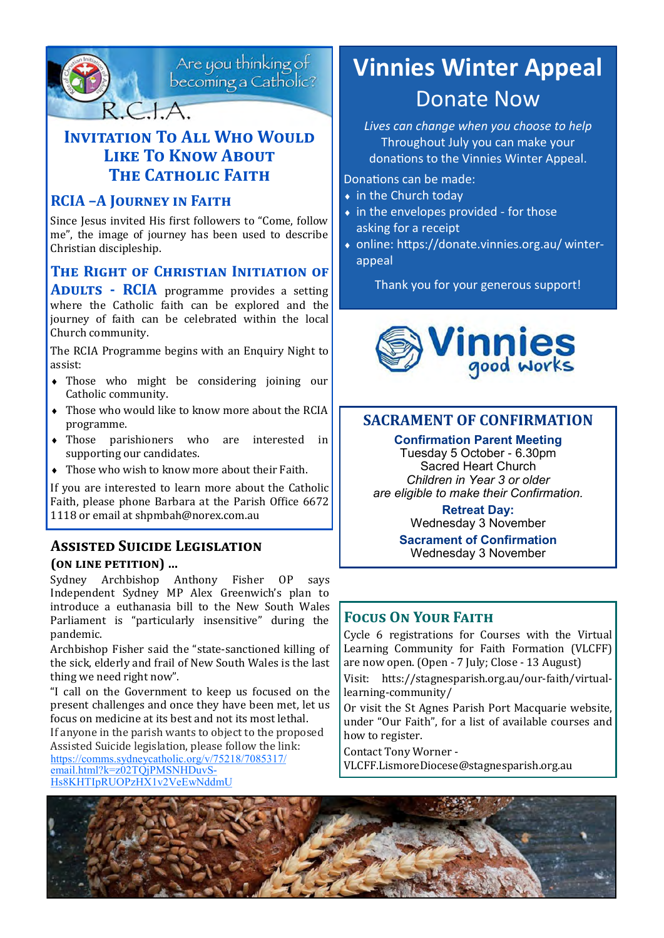

Are you thinking of<br>becoming a Catholic?

## **INVITATION TO ALL WHO WOULD Like To Know About THE CATHOLIC FAITH**

#### **RCIA –A Journey in Faith**

Since Jesus invited His first followers to "Come, follow me", the image of journey has been used to describe Christian discipleship.

## **The Right of Christian Initiation of**

**ADULTS - RCIA** programme provides a setting where the Catholic faith can be explored and the journey of faith can be celebrated within the local Church community.

The RCIA Programme begins with an Enquiry Night to assist:

- Those who might be considering joining our Catholic community.
- Those who would like to know more about the RCIA programme.
- Those parishioners who are interested in supporting our candidates.
- Those who wish to know more about their Faith.

If you are interested to learn more about the Catholic Faith, please phone Barbara at the Parish Office 6672 1118 or email at shpmbah@norex.com.au

#### **Assisted Suicide Legislation (on line petition) …**

Sydney Archbishop Anthony Fisher OP says Independent Sydney MP Alex Greenwich's plan to introduce a euthanasia bill to the New South Wales Parliament is "particularly insensitive" during the pandemic.

Archbishop Fisher said the "state-sanctioned killing of the sick, elderly and frail of New South Wales is the last thing we need right now".

"I call on the Government to keep us focused on the present challenges and once they have been met, let us focus on medicine at its best and not its most lethal. If anyone in the parish wants to object to the proposed

Assisted Suicide legislation, please follow the link: [https://comms.sydneycatholic.org/v/75218/7085317/](https://comms.sydneycatholic.org/v/75218/7085317/email.html?k=z02TQjPMSNHDuvS-Hs8KHTIpRUOPzHX1v2VeEwNddmU) [email.html?k=z02TQjPMSNHDuvS](https://comms.sydneycatholic.org/v/75218/7085317/email.html?k=z02TQjPMSNHDuvS-Hs8KHTIpRUOPzHX1v2VeEwNddmU)-[Hs8KHTIpRUOPzHX1v2VeEwNddmU](https://comms.sydneycatholic.org/v/75218/7085317/email.html?k=z02TQjPMSNHDuvS-Hs8KHTIpRUOPzHX1v2VeEwNddmU)

## **Vinnies Winter Appeal** Donate Now

*Lives can change when you choose to help* Throughout July you can make your donations to the Vinnies Winter Appeal.

Donations can be made:

- ◆ in the Church today
- $\bullet$  in the envelopes provided for those asking for a receipt
- online: https://donate.vinnies.org.au/ winterappeal

Thank you for your generous support!



#### **SACRAMENT OF CONFIRMATION**

#### **Confirmation Parent Meeting**

Tuesday 5 October - 6.30pm Sacred Heart Church *Children in Year 3 or older are eligible to make their Confirmation.*

> **Retreat Day:** Wednesday 3 November

**Sacrament of Confirmation** Wednesday 3 November

#### **Focus On Your Faith**

Cycle 6 registrations for Courses with the Virtual Learning Community for Faith Formation (VLCFF) are now open. (Open - 7 July; Close - 13 August)

Visit: htts://stagnesparish.org.au/our-faith/virtuallearning-community/

Or visit the St Agnes Parish Port Macquarie website, under "Our Faith", for a list of available courses and how to register.

Contact Tony Worner -

VLCFF.LismoreDiocese@stagnesparish.org.au